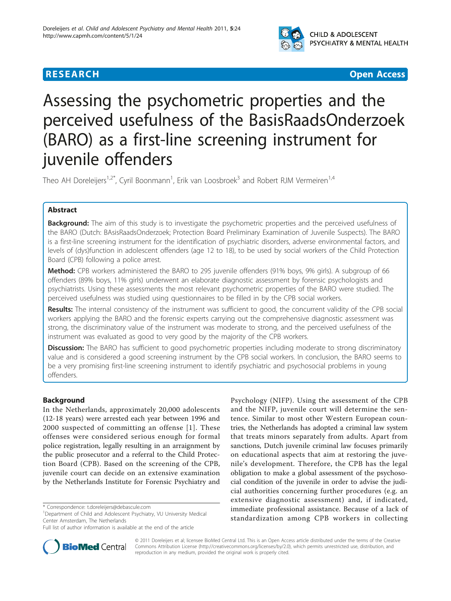

## **RESEARCH CONTROL** CONTROL CONTROL CONTROL CONTROL CONTROL CONTROL CONTROL CONTROL CONTROL CONTROL CONTROL CONTROL

# Assessing the psychometric properties and the perceived usefulness of the BasisRaadsOnderzoek (BARO) as a first-line screening instrument for juvenile offenders

Theo AH Doreleijers<sup>1,2\*</sup>, Cyril Boonmann<sup>1</sup>, Erik van Loosbroek<sup>3</sup> and Robert RJM Vermeiren<sup>1,4</sup>

## Abstract

**Background:** The aim of this study is to investigate the psychometric properties and the perceived usefulness of the BARO (Dutch: BAsisRaadsOnderzoek; Protection Board Preliminary Examination of Juvenile Suspects). The BARO is a first-line screening instrument for the identification of psychiatric disorders, adverse environmental factors, and levels of (dys)function in adolescent offenders (age 12 to 18), to be used by social workers of the Child Protection Board (CPB) following a police arrest.

Method: CPB workers administered the BARO to 295 juvenile offenders (91% boys, 9% girls). A subgroup of 66 offenders (89% boys, 11% girls) underwent an elaborate diagnostic assessment by forensic psychologists and psychiatrists. Using these assessments the most relevant psychometric properties of the BARO were studied. The perceived usefulness was studied using questionnaires to be filled in by the CPB social workers.

Results: The internal consistency of the instrument was sufficient to good, the concurrent validity of the CPB social workers applying the BARO and the forensic experts carrying out the comprehensive diagnostic assessment was strong, the discriminatory value of the instrument was moderate to strong, and the perceived usefulness of the instrument was evaluated as good to very good by the majority of the CPB workers.

**Discussion:** The BARO has sufficient to good psychometric properties including moderate to strong discriminatory value and is considered a good screening instrument by the CPB social workers. In conclusion, the BARO seems to be a very promising first-line screening instrument to identify psychiatric and psychosocial problems in young offenders.

## Background

In the Netherlands, approximately 20,000 adolescents (12-18 years) were arrested each year between 1996 and 2000 suspected of committing an offense [\[1\]](#page-5-0). These offenses were considered serious enough for formal police registration, legally resulting in an arraignment by the public prosecutor and a referral to the Child Protection Board (CPB). Based on the screening of the CPB, juvenile court can decide on an extensive examination by the Netherlands Institute for Forensic Psychiatry and

Psychology (NIFP). Using the assessment of the CPB and the NIFP, juvenile court will determine the sentence. Similar to most other Western European countries, the Netherlands has adopted a criminal law system that treats minors separately from adults. Apart from sanctions, Dutch juvenile criminal law focuses primarily on educational aspects that aim at restoring the juvenile's development. Therefore, the CPB has the legal obligation to make a global assessment of the psychosocial condition of the juvenile in order to advise the judicial authorities concerning further procedures (e.g. an extensive diagnostic assessment) and, if indicated, immediate professional assistance. Because of a lack of standardization among CPB workers in collecting



© 2011 Doreleijers et al; licensee BioMed Central Ltd. This is an Open Access article distributed under the terms of the Creative Commons Attribution License [\(http://creativecommons.org/licenses/by/2.0](http://creativecommons.org/licenses/by/2.0)), which permits unrestricted use, distribution, and reproduction in any medium, provided the original work is properly cited.

<sup>\*</sup> Correspondence: [t.doreleijers@debascule.com](mailto:t.doreleijers@debascule.com)

<sup>&</sup>lt;sup>1</sup>Department of Child and Adolescent Psychiatry, VU University Medical Center Amsterdam, The Netherlands

Full list of author information is available at the end of the article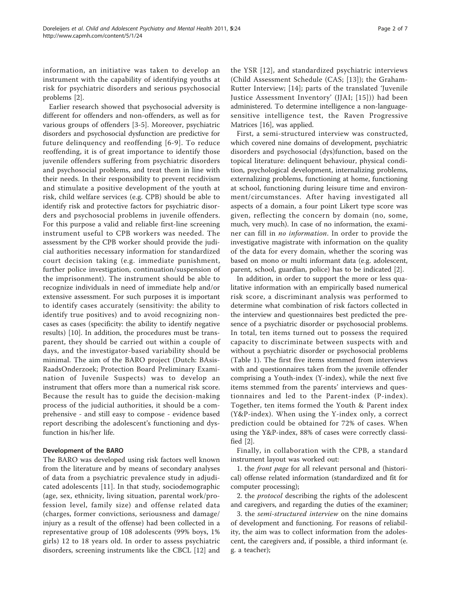information, an initiative was taken to develop an instrument with the capability of identifying youths at risk for psychiatric disorders and serious psychosocial problems [[2\]](#page-5-0).

Earlier research showed that psychosocial adversity is different for offenders and non-offenders, as well as for various groups of offenders [[3-5](#page-5-0)]. Moreover, psychiatric disorders and psychosocial dysfunction are predictive for future delinquency and reoffending [\[6-](#page-5-0)[9\]](#page-6-0). To reduce reoffending, it is of great importance to identify those juvenile offenders suffering from psychiatric disorders and psychosocial problems, and treat them in line with their needs. In their responsibility to prevent recidivism and stimulate a positive development of the youth at risk, child welfare services (e.g. CPB) should be able to identify risk and protective factors for psychiatric disorders and psychosocial problems in juvenile offenders. For this purpose a valid and reliable first-line screening instrument useful to CPB workers was needed. The assessment by the CPB worker should provide the judicial authorities necessary information for standardized court decision taking (e.g. immediate punishment, further police investigation, continuation/suspension of the imprisonment). The instrument should be able to recognize individuals in need of immediate help and/or extensive assessment. For such purposes it is important to identify cases accurately (sensitivity: the ability to identify true positives) and to avoid recognizing noncases as cases (specificity: the ability to identify negative results) [[10](#page-6-0)]. In addition, the procedures must be transparent, they should be carried out within a couple of days, and the investigator-based variability should be minimal. The aim of the BARO project (Dutch: BAsis-RaadsOnderzoek; Protection Board Preliminary Examination of Juvenile Suspects) was to develop an instrument that offers more than a numerical risk score. Because the result has to guide the decision-making process of the judicial authorities, it should be a comprehensive - and still easy to compose - evidence based report describing the adolescent's functioning and dysfunction in his/her life.

## Development of the BARO

The BARO was developed using risk factors well known from the literature and by means of secondary analyses of data from a psychiatric prevalence study in adjudicated adolescents [\[11](#page-6-0)]. In that study, sociodemographic (age, sex, ethnicity, living situation, parental work/profession level, family size) and offense related data (charges, former convictions, seriousness and damage/ injury as a result of the offense) had been collected in a representative group of 108 adolescents (99% boys, 1% girls) 12 to 18 years old. In order to assess psychiatric disorders, screening instruments like the CBCL [\[12\]](#page-6-0) and the YSR [[12](#page-6-0)], and standardized psychiatric interviews (Child Assessment Schedule (CAS; [[13](#page-6-0)]); the Graham-Rutter Interview; [\[14\]](#page-6-0); parts of the translated 'Juvenile Justice Assessment Inventory' (JJAI; [[15\]](#page-6-0))) had been administered. To determine intelligence a non-languagesensitive intelligence test, the Raven Progressive Matrices [\[16](#page-6-0)], was applied.

First, a semi-structured interview was constructed, which covered nine domains of development, psychiatric disorders and psychosocial (dys)function, based on the topical literature: delinquent behaviour, physical condition, psychological development, internalizing problems, externalizing problems, functioning at home, functioning at school, functioning during leisure time and environment/circumstances. After having investigated all aspects of a domain, a four point Likert type score was given, reflecting the concern by domain (no, some, much, very much). In case of no information, the examiner can fill in no information. In order to provide the investigative magistrate with information on the quality of the data for every domain, whether the scoring was based on mono or multi informant data (e.g. adolescent, parent, school, guardian, police) has to be indicated [[2](#page-5-0)].

In addition, in order to support the more or less qualitative information with an empirically based numerical risk score, a discriminant analysis was performed to determine what combination of risk factors collected in the interview and questionnaires best predicted the presence of a psychiatric disorder or psychosocial problems. In total, ten items turned out to possess the required capacity to discriminate between suspects with and without a psychiatric disorder or psychosocial problems (Table [1\)](#page-2-0). The first five items stemmed from interviews with and questionnaires taken from the juvenile offender comprising a Youth-index (Y-index), while the next five items stemmed from the parents' interviews and questionnaires and led to the Parent-index (P-index). Together, ten items formed the Youth & Parent index (Y&P-index). When using the Y-index only, a correct prediction could be obtained for 72% of cases. When using the Y&P-index, 88% of cases were correctly classified [\[2\]](#page-5-0).

Finally, in collaboration with the CPB, a standard instrument layout was worked out:

1. the front page for all relevant personal and (historical) offense related information (standardized and fit for computer processing);

2. the *protocol* describing the rights of the adolescent and caregivers, and regarding the duties of the examiner;

3. the semi-structured interview on the nine domains of development and functioning. For reasons of reliability, the aim was to collect information from the adolescent, the caregivers and, if possible, a third informant (e. g. a teacher);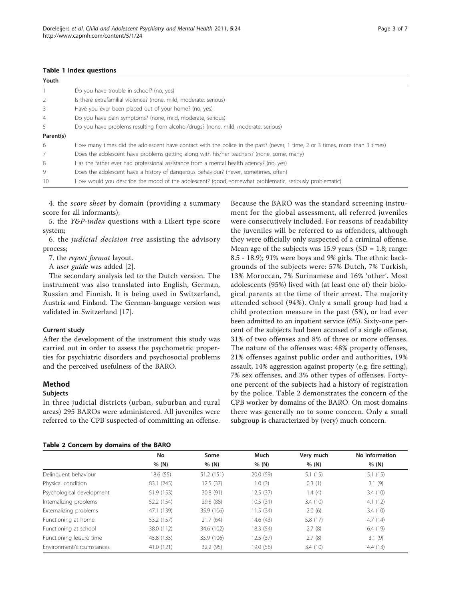#### <span id="page-2-0"></span>Table 1 Index questions

| Youth          |                                                                                                                              |  |  |  |  |  |
|----------------|------------------------------------------------------------------------------------------------------------------------------|--|--|--|--|--|
|                | Do you have trouble in school? (no, yes)                                                                                     |  |  |  |  |  |
| 2              | Is there extrafamilial violence? (none, mild, moderate, serious)                                                             |  |  |  |  |  |
| 3              | Have you ever been placed out of your home? (no, yes)                                                                        |  |  |  |  |  |
| $\overline{4}$ | Do you have pain symptoms? (none, mild, moderate, serious)                                                                   |  |  |  |  |  |
| 5              | Do you have problems resulting from alcohol/drugs? (none, mild, moderate, serious)                                           |  |  |  |  |  |
| Parent(s)      |                                                                                                                              |  |  |  |  |  |
| 6              | How many times did the adolescent have contact with the police in the past? (never, 1 time, 2 or 3 times, more than 3 times) |  |  |  |  |  |
| 7              | Does the adolescent have problems getting along with his/her teachers? (none, some, many)                                    |  |  |  |  |  |
| 8              | Has the father ever had professional assistance from a mental health agency? (no, yes)                                       |  |  |  |  |  |
| 9              | Does the adolescent have a history of dangerous behaviour? (never, sometimes, often)                                         |  |  |  |  |  |
| 10             | How would you describe the mood of the adolescent? (good, somewhat problematic, seriously problematic)                       |  |  |  |  |  |

4. the score sheet by domain (providing a summary score for all informants);

5. the Y&P-index questions with a Likert type score system;

6. the judicial decision tree assisting the advisory process;

7. the report format layout.

A user guide was added [\[2](#page-5-0)].

The secondary analysis led to the Dutch version. The instrument was also translated into English, German, Russian and Finnish. It is being used in Switzerland, Austria and Finland. The German-language version was validated in Switzerland [\[17\]](#page-6-0).

### Current study

After the development of the instrument this study was carried out in order to assess the psychometric properties for psychiatric disorders and psychosocial problems and the perceived usefulness of the BARO.

## Method

#### Subjects

In three judicial districts (urban, suburban and rural areas) 295 BAROs were administered. All juveniles were referred to the CPB suspected of committing an offense.

Because the BARO was the standard screening instrument for the global assessment, all referred juveniles were consecutively included. For reasons of readability the juveniles will be referred to as offenders, although they were officially only suspected of a criminal offense. Mean age of the subjects was 15.9 years  $(SD = 1.8;$  range: 8.5 - 18.9); 91% were boys and 9% girls. The ethnic backgrounds of the subjects were: 57% Dutch, 7% Turkish, 13% Moroccan, 7% Surinamese and 16% 'other'. Most adolescents (95%) lived with (at least one of) their biological parents at the time of their arrest. The majority attended school (94%). Only a small group had had a child protection measure in the past (5%), or had ever been admitted to an inpatient service (6%). Sixty-one percent of the subjects had been accused of a single offense, 31% of two offenses and 8% of three or more offenses. The nature of the offenses was: 48% property offenses, 21% offenses against public order and authorities, 19% assault, 14% aggression against property (e.g. fire setting), 7% sex offenses, and 3% other types of offenses. Fortyone percent of the subjects had a history of registration by the police. Table 2 demonstrates the concern of the CPB worker by domains of the BARO. On most domains there was generally no to some concern. Only a small subgroup is characterized by (very) much concern.

#### Table 2 Concern by domains of the BARO

|                           | No         | Some       | Much      | Very much | No information |
|---------------------------|------------|------------|-----------|-----------|----------------|
|                           | % (N)      | % (N)      | % (N)     | % (N)     | % (N)          |
| Delinguent behaviour      | 18.6 (55)  | 51.2 (151) | 20.0(59)  | 5.1(15)   | 5.1(15)        |
| Physical condition        | 83.1 (245) | 12.5(37)   | 1.0(3)    | 0.3(1)    | 3.1(9)         |
| Psychological development | 51.9 (153) | 30.8(91)   | 12.5(37)  | 1.4(4)    | 3.4(10)        |
| Internalizing problems    | 52.2 (154) | 29.8 (88)  | 10.5(31)  | 3.4(10)   | 4.1(12)        |
| Externalizing problems    | 47.1 (139) | 35.9 (106) | 11.5(34)  | 2.0(6)    | 3.4(10)        |
| Functioning at home       | 53.2 (157) | 21.7(64)   | 14.6(43)  | 5.8 (17)  | 4.7(14)        |
| Functioning at school     | 38.0 (112) | 34.6 (102) | 18.3(54)  | 2.7(8)    | 6.4(19)        |
| Functioning leisure time  | 45.8 (135) | 35.9 (106) | 12.5(37)  | 2.7(8)    | 3.1(9)         |
| Environment/circumstances | 41.0 (121) | 32.2 (95)  | 19.0 (56) | 3.4(10)   | 4.4(13)        |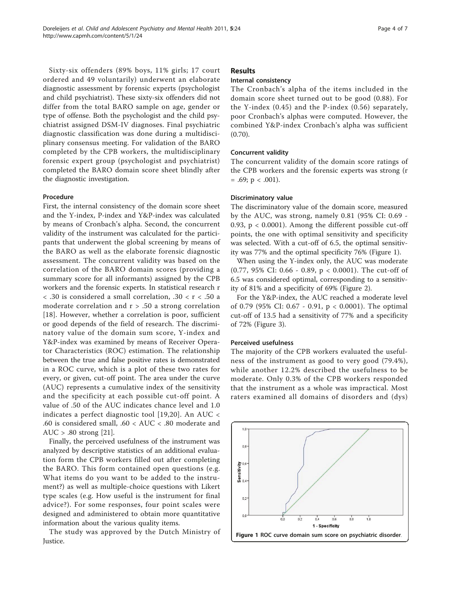Sixty-six offenders (89% boys, 11% girls; 17 court ordered and 49 voluntarily) underwent an elaborate diagnostic assessment by forensic experts (psychologist and child psychiatrist). These sixty-six offenders did not differ from the total BARO sample on age, gender or type of offense. Both the psychologist and the child psychiatrist assigned DSM-IV diagnoses. Final psychiatric diagnostic classification was done during a multidisciplinary consensus meeting. For validation of the BARO completed by the CPB workers, the multidisciplinary forensic expert group (psychologist and psychiatrist) completed the BARO domain score sheet blindly after the diagnostic investigation.

#### Procedure

First, the internal consistency of the domain score sheet and the Y-index, P-index and Y&P-index was calculated by means of Cronbach's alpha. Second, the concurrent validity of the instrument was calculated for the participants that underwent the global screening by means of the BARO as well as the elaborate forensic diagnostic assessment. The concurrent validity was based on the correlation of the BARO domain scores (providing a summary score for all informants) assigned by the CPB workers and the forensic experts. In statistical research r < .30 is considered a small correlation, .30 < r < .50 a moderate correlation and  $r > .50$  a strong correlation [[18](#page-6-0)]. However, whether a correlation is poor, sufficient or good depends of the field of research. The discriminatory value of the domain sum score, Y-index and Y&P-index was examined by means of Receiver Operator Characteristics (ROC) estimation. The relationship between the true and false positive rates is demonstrated in a ROC curve, which is a plot of these two rates for every, or given, cut-off point. The area under the curve (AUC) represents a cumulative index of the sensitivity and the specificity at each possible cut-off point. A value of .50 of the AUC indicates chance level and 1.0 indicates a perfect diagnostic tool [\[19,20](#page-6-0)]. An AUC < .60 is considered small, .60 < AUC < .80 moderate and  $AUC > .80$  strong [\[21](#page-6-0)].

Finally, the perceived usefulness of the instrument was analyzed by descriptive statistics of an additional evaluation form the CPB workers filled out after completing the BARO. This form contained open questions (e.g. What items do you want to be added to the instrument?) as well as multiple-choice questions with Likert type scales (e.g. How useful is the instrument for final advice?). For some responses, four point scales were designed and administered to obtain more quantitative information about the various quality items.

The study was approved by the Dutch Ministry of Justice.

## Results

## Internal consistency

The Cronbach's alpha of the items included in the domain score sheet turned out to be good (0.88). For the Y-index (0.45) and the P-index (0.56) separately, poor Cronbach's alphas were computed. However, the combined Y&P-index Cronbach's alpha was sufficient (0.70).

## Concurrent validity

The concurrent validity of the domain score ratings of the CPB workers and the forensic experts was strong (r  $= .69$ ; p  $< .001$ ).

#### Discriminatory value

The discriminatory value of the domain score, measured by the AUC, was strong, namely 0.81 (95% CI: 0.69 - 0.93, p < 0.0001). Among the different possible cut-off points, the one with optimal sensitivity and specificity was selected. With a cut-off of 6.5, the optimal sensitivity was 77% and the optimal specificity 76% (Figure 1).

When using the Y-index only, the AUC was moderate (0.77, 95% CI: 0.66 - 0.89, p < 0.0001). The cut-off of 6.5 was considered optimal, corresponding to a sensitivity of 81% and a specificity of 69% (Figure [2](#page-4-0)).

For the Y&P-index, the AUC reached a moderate level of 0.79 (95% CI: 0.67 - 0.91, p < 0.0001). The optimal cut-off of 13.5 had a sensitivity of 77% and a specificity of 72% (Figure [3\)](#page-4-0).

#### Perceived usefulness

The majority of the CPB workers evaluated the usefulness of the instrument as good to very good (79.4%), while another 12.2% described the usefulness to be moderate. Only 0.3% of the CPB workers responded that the instrument as a whole was impractical. Most raters examined all domains of disorders and (dys)

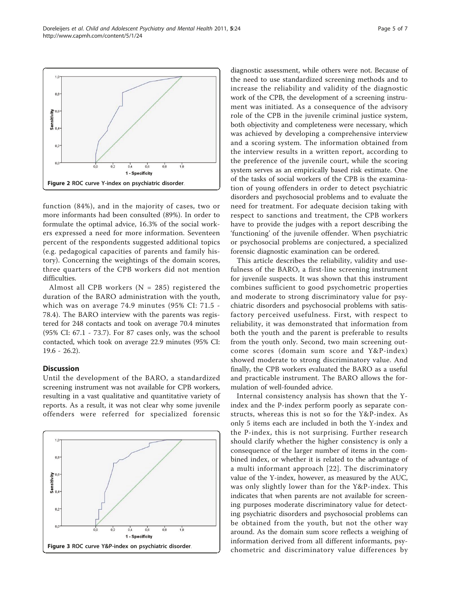<span id="page-4-0"></span>

function (84%), and in the majority of cases, two or more informants had been consulted (89%). In order to formulate the optimal advice, 16.3% of the social workers expressed a need for more information. Seventeen percent of the respondents suggested additional topics (e.g. pedagogical capacities of parents and family history). Concerning the weightings of the domain scores, three quarters of the CPB workers did not mention difficulties.

Almost all CPB workers ( $N = 285$ ) registered the duration of the BARO administration with the youth, which was on average 74.9 minutes (95% CI: 71.5 - 78.4). The BARO interview with the parents was registered for 248 contacts and took on average 70.4 minutes (95% CI: 67.1 - 73.7). For 87 cases only, was the school contacted, which took on average 22.9 minutes (95% CI: 19.6 - 26.2).

## Discussion

Until the development of the BARO, a standardized screening instrument was not available for CPB workers, resulting in a vast qualitative and quantitative variety of reports. As a result, it was not clear why some juvenile offenders were referred for specialized forensic



diagnostic assessment, while others were not. Because of the need to use standardized screening methods and to increase the reliability and validity of the diagnostic work of the CPB, the development of a screening instrument was initiated. As a consequence of the advisory role of the CPB in the juvenile criminal justice system, both objectivity and completeness were necessary, which was achieved by developing a comprehensive interview and a scoring system. The information obtained from the interview results in a written report, according to the preference of the juvenile court, while the scoring system serves as an empirically based risk estimate. One of the tasks of social workers of the CPB is the examination of young offenders in order to detect psychiatric disorders and psychosocial problems and to evaluate the need for treatment. For adequate decision taking with respect to sanctions and treatment, the CPB workers have to provide the judges with a report describing the 'functioning' of the juvenile offender. When psychiatric or psychosocial problems are conjectured, a specialized forensic diagnostic examination can be ordered.

This article describes the reliability, validity and usefulness of the BARO, a first-line screening instrument for juvenile suspects. It was shown that this instrument combines sufficient to good psychometric properties and moderate to strong discriminatory value for psychiatric disorders and psychosocial problems with satisfactory perceived usefulness. First, with respect to reliability, it was demonstrated that information from both the youth and the parent is preferable to results from the youth only. Second, two main screening outcome scores (domain sum score and Y&P-index) showed moderate to strong discriminatory value. And finally, the CPB workers evaluated the BARO as a useful and practicable instrument. The BARO allows the formulation of well-founded advice.

Internal consistency analysis has shown that the Yindex and the P-index perform poorly as separate constructs, whereas this is not so for the Y&P-index. As only 5 items each are included in both the Y-index and the P-index, this is not surprising. Further research should clarify whether the higher consistency is only a consequence of the larger number of items in the combined index, or whether it is related to the advantage of a multi informant approach [[22](#page-6-0)]. The discriminatory value of the Y-index, however, as measured by the AUC, was only slightly lower than for the Y&P-index. This indicates that when parents are not available for screening purposes moderate discriminatory value for detecting psychiatric disorders and psychosocial problems can be obtained from the youth, but not the other way around. As the domain sum score reflects a weighing of information derived from all different informants, psychometric and discriminatory value differences by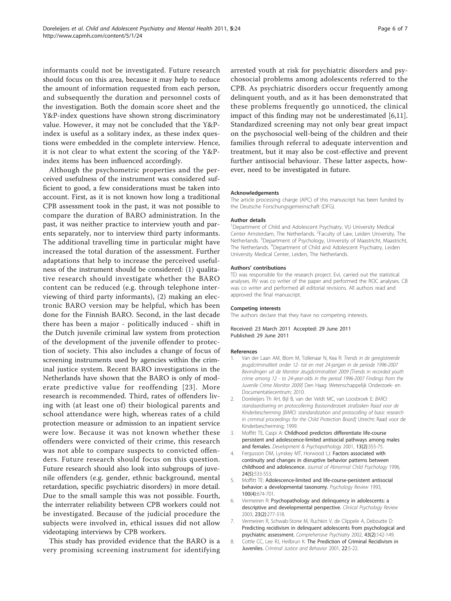<span id="page-5-0"></span>informants could not be investigated. Future research should focus on this area, because it may help to reduce the amount of information requested from each person, and subsequently the duration and personnel costs of the investigation. Both the domain score sheet and the Y&P-index questions have shown strong discriminatory value. However, it may not be concluded that the Y&Pindex is useful as a solitary index, as these index questions were embedded in the complete interview. Hence, it is not clear to what extent the scoring of the Y&Pindex items has been influenced accordingly.

Although the psychometric properties and the perceived usefulness of the instrument was considered sufficient to good, a few considerations must be taken into account. First, as it is not known how long a traditional CPB assessment took in the past, it was not possible to compare the duration of BARO administration. In the past, it was neither practice to interview youth and parents separately, nor to interview third party informants. The additional travelling time in particular might have increased the total duration of the assessment. Further adaptations that help to increase the perceived usefulness of the instrument should be considered: (1) qualitative research should investigate whether the BARO content can be reduced (e.g. through telephone interviewing of third party informants), (2) making an electronic BARO version may be helpful, which has been done for the Finnish BARO. Second, in the last decade there has been a major - politically induced - shift in the Dutch juvenile criminal law system from protection of the development of the juvenile offender to protection of society. This also includes a change of focus of screening instruments used by agencies within the criminal justice system. Recent BARO investigations in the Netherlands have shown that the BARO is only of moderate predictive value for reoffending [[23\]](#page-6-0). More research is recommended. Third, rates of offenders living with (at least one of) their biological parents and school attendance were high, whereas rates of a child protection measure or admission to an inpatient service were low. Because it was not known whether these offenders were convicted of their crime, this research was not able to compare suspects to convicted offenders. Future research should focus on this question. Future research should also look into subgroups of juvenile offenders (e.g. gender, ethnic background, mental retardation, specific psychiatric disorders) in more detail. Due to the small sample this was not possible. Fourth, the interrater reliability between CPB workers could not be investigated. Because of the judicial procedure the subjects were involved in, ethical issues did not allow videotaping interviews by CPB workers.

This study has provided evidence that the BARO is a very promising screening instrument for identifying arrested youth at risk for psychiatric disorders and psychosocial problems among adolescents referred to the CPB. As psychiatric disorders occur frequently among delinquent youth, and as it has been demonstrated that these problems frequently go unnoticed, the clinical impact of this finding may not be underestimated [6,[11](#page-6-0)]. Standardized screening may not only bear great impact on the psychosocial well-being of the children and their families through referral to adequate intervention and treatment, but it may also be cost-effective and prevent further antisocial behaviour. These latter aspects, however, need to be investigated in future.

#### Acknowledgements

The article processing charge (APC) of this manuscript has been funded by the Deutsche Forschungsgemeinschaft (DFG).

#### Author details

<sup>1</sup>Department of Child and Adolescent Psychiatry, VU University Medical Center Amsterdam, The Netherlands. <sup>2</sup> Faculty of Law, Leiden University, The Netherlands. <sup>3</sup>Department of Psychology, University of Maastricht, Maastricht, The Netherlands. <sup>4</sup>Department of Child and Adolescent Psychiatry, Leiden University Medical Center, Leiden, The Netherlands.

#### Authors' contributions

TD was responsible for the research project. EvL carried out the statistical analyses. RV was co writer of the paper and performed the ROC analyses. CB was co writer and performed all editorial revisions. All authors read and approved the final manuscript.

#### Competing interests

The authors declare that they have no competing interests.

#### Received: 23 March 2011 Accepted: 29 June 2011 Published: 29 June 2011

#### References

- 1. Van der Laan AM, Blom M, Tollenaar N, Kea R: Trends in de geregistreerde jeugdcriminaliteit onder 12- tot en met 24-jarigen in de periode 1996-2007 Bevindingen uit de Monitor Jeugdcriminaliteit 2009 [Trends in recorded youth crime among 12 - to 24-year-olds in the period 1996-2007 Findings from the Juvenile Crime Monitor 2009] Den Haag: Wetenschappelijk Onderzoek- en Documentatiecentrum; 2010.
- 2. Doreleijers Th AH, Bijl B, van der Veldt MC, van Loosbroek E: BARO: standaardisering en protocollering Basisonderzoek strafzaken Raad voor de Kinderbescherming [BARO: standardization and protocolling of basic research in criminal proceedings for the Child Protection Board] Utrecht: Raad voor de Kinderbescherming; 1999.
- 3. Moffitt TE, Caspi A: [Childhood predictors differentiate life-course](http://www.ncbi.nlm.nih.gov/pubmed/21776589?dopt=Abstract) [persistent and adolescence-limited antisocial pathways among males](http://www.ncbi.nlm.nih.gov/pubmed/21776589?dopt=Abstract) [and females.](http://www.ncbi.nlm.nih.gov/pubmed/21776589?dopt=Abstract) Development & Psychopathology 2001, 13(2):355-75.
- 4. Fergusson DM, Lynskey MT, Horwood LJ: [Factors associated with](http://www.ncbi.nlm.nih.gov/pubmed/8956083?dopt=Abstract) [continuity and changes in disruptive behavior patterns between](http://www.ncbi.nlm.nih.gov/pubmed/8956083?dopt=Abstract) [childhood and adolescence.](http://www.ncbi.nlm.nih.gov/pubmed/8956083?dopt=Abstract) Journal of Abnormal Child Psychology 1996, 24(5):533-553.
- 5. Moffitt TE: Adolescence-limited and life-course-persistent antisocial behavior: a developmental taxonomy. Psychology Review 1993, 100(4):674-701.
- 6. Vermeiren R: [Psychopathology and delinquency in adolescents: a](http://www.ncbi.nlm.nih.gov/pubmed/12573673?dopt=Abstract) [descriptive and developmental perspective.](http://www.ncbi.nlm.nih.gov/pubmed/12573673?dopt=Abstract) Clinical Psychology Review 2003, 23(2):277-318.
- 7. Vermeiren R, Schwab-Stone M, Ruchkin V, de Clippele A, Deboutte D: [Predicting recidivism in delinquent adolescents from psychological and](http://www.ncbi.nlm.nih.gov/pubmed/11893993?dopt=Abstract) [psychiatric assessment.](http://www.ncbi.nlm.nih.gov/pubmed/11893993?dopt=Abstract) Comprehensive Psychiatry 2002, 43(2):142-149.
- 8. Cottle CC, Lee RJ, Heilbrun K: The Prediction of Criminal Recidivism in Juveniles. Criminal Justice and Behavior 2001, 22:5-22.